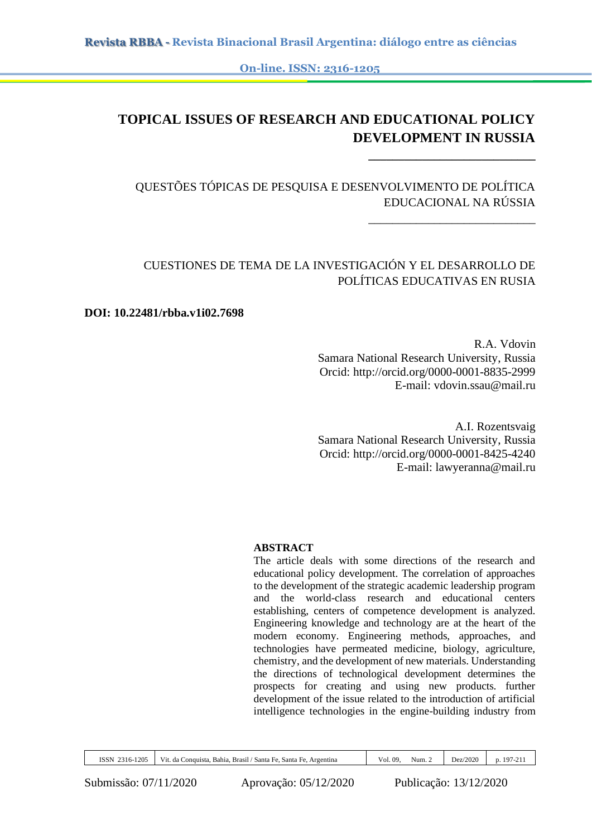**On-line. ISSN: 2316-1205**

# **TOPICAL ISSUES OF RESEARCH AND EDUCATIONAL POLICY DEVELOPMENT IN RUSSIA**

QUESTÕES TÓPICAS DE PESQUISA E DESENVOLVIMENTO DE POLÍTICA EDUCACIONAL NA RÚSSIA

## CUESTIONES DE TEMA DE LA INVESTIGACIÓN Y EL DESARROLLO DE POLÍTICAS EDUCATIVAS EN RUSIA

#### **DOI: 10.22481/rbba.v1i02.7698**

R.A. Vdovin Samara National Research University, Russia Orcid: http://orcid.org/0000-0001-8835-2999 E-mail: vdovin.ssau@mail.ru

**\_\_\_\_\_\_\_\_\_\_\_\_\_\_\_\_\_\_\_\_\_\_\_\_\_\_\_\_**

\_\_\_\_\_\_\_\_\_\_\_\_\_\_\_\_\_\_\_\_\_\_\_\_\_\_\_\_

A.I. Rozentsvaig Samara National Research University, Russia Orcid: http://orcid.org/0000-0001-8425-4240 E-mail: lawyeranna@mail.ru

#### **ABSTRACT**

The article deals with some directions of the research and educational policy development. The correlation of approaches to the development of the strategic academic leadership program and the world-class research and educational centers establishing, centers of competence development is analyzed. Engineering knowledge and technology are at the heart of the modern economy. Engineering methods, approaches, and technologies have permeated medicine, biology, agriculture, chemistry, and the development of new materials. Understanding the directions of technological development determines the prospects for creating and using new products. further development of the issue related to the introduction of artificial intelligence technologies in the engine-building industry from

| -1205<br>ISSN<br>$316-$<br>--- | .<br>' Santa Fe.<br>Brasıl<br>Santa Fe.<br>Argentina<br>`onquista.<br>Bahia<br>V 1t.<br>da ' | Vol.<br>. 09 | Num. | Dez/2020 | 10 <sup>7</sup><br>$\sim$<br>ـ ـ |
|--------------------------------|----------------------------------------------------------------------------------------------|--------------|------|----------|----------------------------------|
|                                |                                                                                              |              |      |          |                                  |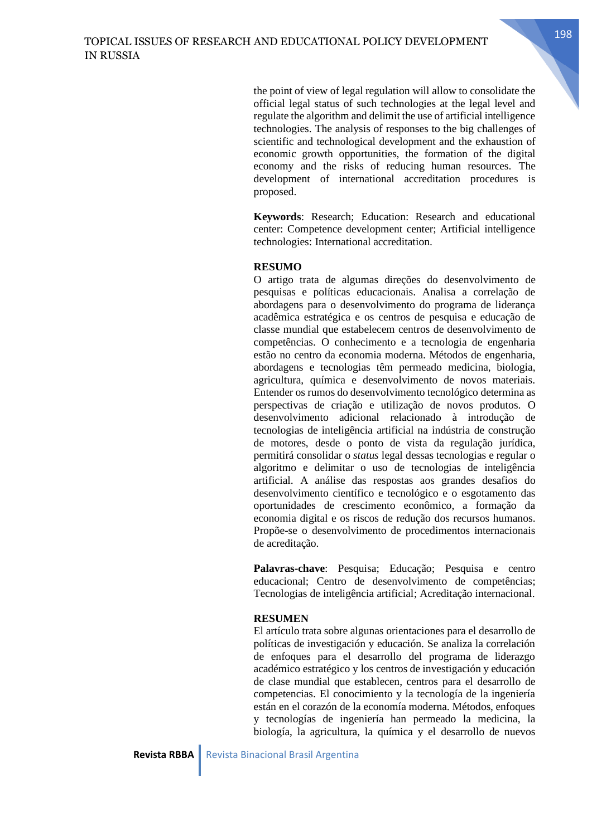the point of view of legal regulation will allow to consolidate the official legal status of such technologies at the legal level and regulate the algorithm and delimit the use of artificial intelligence technologies. The analysis of responses to the big challenges of scientific and technological development and the exhaustion of economic growth opportunities, the formation of the digital economy and the risks of reducing human resources. The development of international accreditation procedures is proposed.

**Keywords**: Research; Education: Research and educational center: Competence development center; Artificial intelligence technologies: International accreditation.

#### **RESUMO**

O artigo trata de algumas direções do desenvolvimento de pesquisas e políticas educacionais. Analisa a correlação de abordagens para o desenvolvimento do programa de liderança acadêmica estratégica e os centros de pesquisa e educação de classe mundial que estabelecem centros de desenvolvimento de competências. O conhecimento e a tecnologia de engenharia estão no centro da economia moderna. Métodos de engenharia, abordagens e tecnologias têm permeado medicina, biologia, agricultura, química e desenvolvimento de novos materiais. Entender os rumos do desenvolvimento tecnológico determina as perspectivas de criação e utilização de novos produtos. O desenvolvimento adicional relacionado à introdução de tecnologias de inteligência artificial na indústria de construção de motores, desde o ponto de vista da regulação jurídica, permitirá consolidar o *status* legal dessas tecnologias e regular o algoritmo e delimitar o uso de tecnologias de inteligência artificial. A análise das respostas aos grandes desafios do desenvolvimento científico e tecnológico e o esgotamento das oportunidades de crescimento econômico, a formação da economia digital e os riscos de redução dos recursos humanos. Propõe-se o desenvolvimento de procedimentos internacionais de acreditação.

**Palavras-chave**: Pesquisa; Educação; Pesquisa e centro educacional; Centro de desenvolvimento de competências; Tecnologias de inteligência artificial; Acreditação internacional.

#### **RESUMEN**

El artículo trata sobre algunas orientaciones para el desarrollo de políticas de investigación y educación. Se analiza la correlación de enfoques para el desarrollo del programa de liderazgo académico estratégico y los centros de investigación y educación de clase mundial que establecen, centros para el desarrollo de competencias. El conocimiento y la tecnología de la ingeniería están en el corazón de la economía moderna. Métodos, enfoques y tecnologías de ingeniería han permeado la medicina, la biología, la agricultura, la química y el desarrollo de nuevos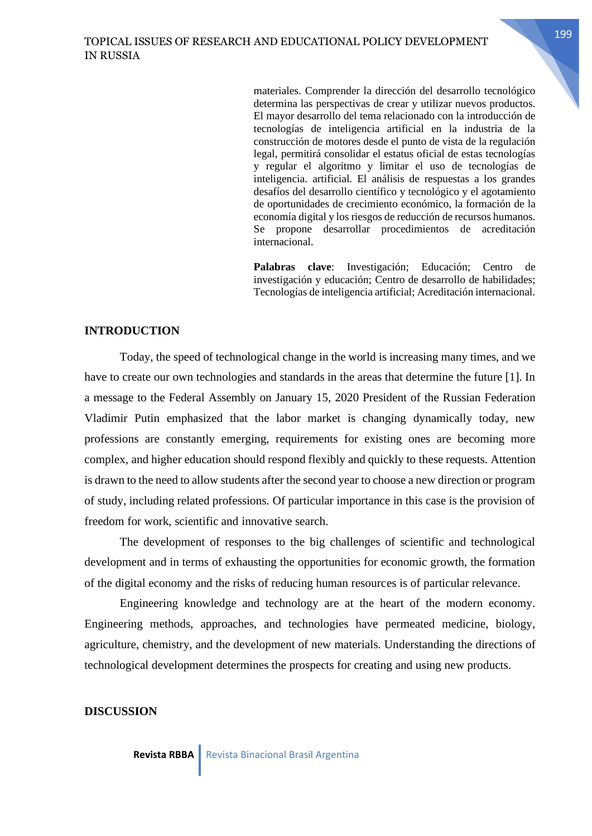materiales. Comprender la dirección del desarrollo tecnológico determina las perspectivas de crear y utilizar nuevos productos. El mayor desarrollo del tema relacionado con la introducción de tecnologías de inteligencia artificial en la industria de la construcción de motores desde el punto de vista de la regulación legal, permitirá consolidar el estatus oficial de estas tecnologías y regular el algoritmo y limitar el uso de tecnologías de inteligencia. artificial. El análisis de respuestas a los grandes desafíos del desarrollo científico y tecnológico y el agotamiento de oportunidades de crecimiento económico, la formación de la economía digital y los riesgos de reducción de recursos humanos. Se propone desarrollar procedimientos de acreditación internacional.

**Palabras clave**: Investigación; Educación; Centro de investigación y educación; Centro de desarrollo de habilidades; Tecnologías de inteligencia artificial; Acreditación internacional.

### **INTRODUCTION**

Today, the speed of technological change in the world is increasing many times, and we have to create our own technologies and standards in the areas that determine the future [1]. In a message to the Federal Assembly on January 15, 2020 President of the Russian Federation Vladimir Putin emphasized that the labor market is changing dynamically today, new professions are constantly emerging, requirements for existing ones are becoming more complex, and higher education should respond flexibly and quickly to these requests. Attention is drawn to the need to allow students after the second year to choose a new direction or program of study, including related professions. Of particular importance in this case is the provision of freedom for work, scientific and innovative search.

The development of responses to the big challenges of scientific and technological development and in terms of exhausting the opportunities for economic growth, the formation of the digital economy and the risks of reducing human resources is of particular relevance.

Engineering knowledge and technology are at the heart of the modern economy. Engineering methods, approaches, and technologies have permeated medicine, biology, agriculture, chemistry, and the development of new materials. Understanding the directions of technological development determines the prospects for creating and using new products.

#### **DISCUSSION**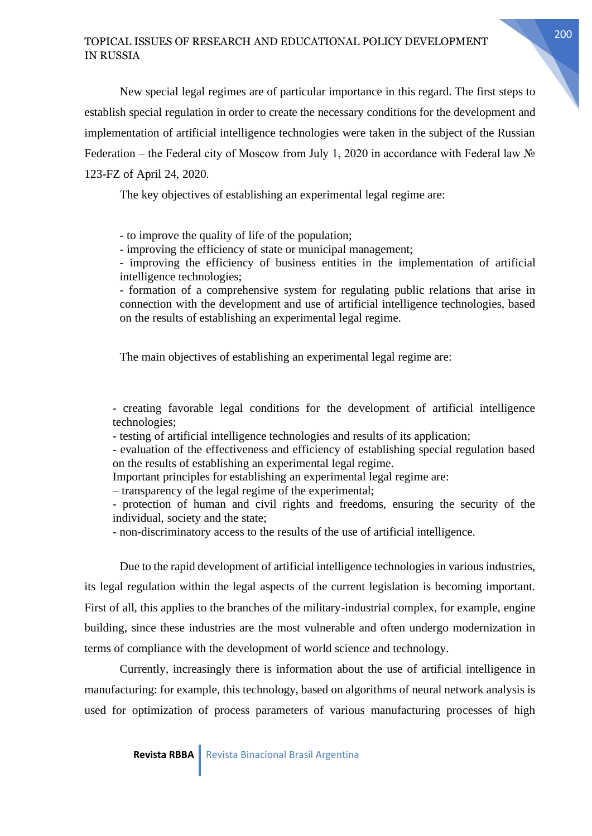New special legal regimes are of particular importance in this regard. The first steps to establish special regulation in order to create the necessary conditions for the development and implementation of artificial intelligence technologies were taken in the subject of the Russian Federation – the Federal city of Moscow from July 1, 2020 in accordance with Federal law № 123-FZ of April 24, 2020.

The key objectives of establishing an experimental legal regime are:

- to improve the quality of life of the population;

- improving the efficiency of state or municipal management;

- improving the efficiency of business entities in the implementation of artificial intelligence technologies;

- formation of a comprehensive system for regulating public relations that arise in connection with the development and use of artificial intelligence technologies, based on the results of establishing an experimental legal regime.

The main objectives of establishing an experimental legal regime are:

- creating favorable legal conditions for the development of artificial intelligence technologies;

- testing of artificial intelligence technologies and results of its application;

- evaluation of the effectiveness and efficiency of establishing special regulation based on the results of establishing an experimental legal regime.

Important principles for establishing an experimental legal regime are:

– transparency of the legal regime of the experimental;

- protection of human and civil rights and freedoms, ensuring the security of the individual, society and the state;

- non-discriminatory access to the results of the use of artificial intelligence.

Due to the rapid development of artificial intelligence technologies in various industries, its legal regulation within the legal aspects of the current legislation is becoming important. First of all, this applies to the branches of the military-industrial complex, for example, engine building, since these industries are the most vulnerable and often undergo modernization in terms of compliance with the development of world science and technology.

Currently, increasingly there is information about the use of artificial intelligence in manufacturing: for example, this technology, based on algorithms of neural network analysis is used for optimization of process parameters of various manufacturing processes of high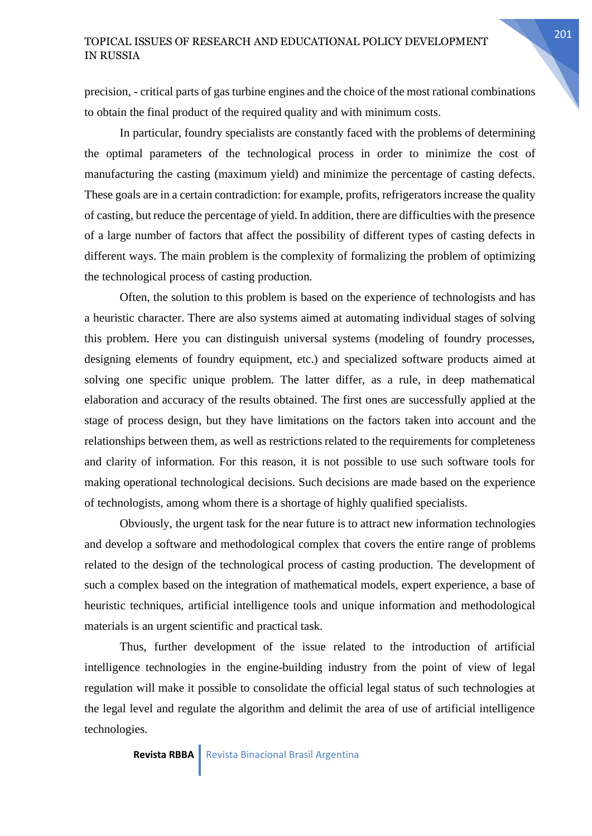precision, - critical parts of gas turbine engines and the choice of the most rational combinations to obtain the final product of the required quality and with minimum costs.

In particular, foundry specialists are constantly faced with the problems of determining the optimal parameters of the technological process in order to minimize the cost of manufacturing the casting (maximum yield) and minimize the percentage of casting defects. These goals are in a certain contradiction: for example, profits, refrigerators increase the quality of casting, but reduce the percentage of yield. In addition, there are difficulties with the presence of a large number of factors that affect the possibility of different types of casting defects in different ways. The main problem is the complexity of formalizing the problem of optimizing the technological process of casting production.

Often, the solution to this problem is based on the experience of technologists and has a heuristic character. There are also systems aimed at automating individual stages of solving this problem. Here you can distinguish universal systems (modeling of foundry processes, designing elements of foundry equipment, etc.) and specialized software products aimed at solving one specific unique problem. The latter differ, as a rule, in deep mathematical elaboration and accuracy of the results obtained. The first ones are successfully applied at the stage of process design, but they have limitations on the factors taken into account and the relationships between them, as well as restrictions related to the requirements for completeness and clarity of information. For this reason, it is not possible to use such software tools for making operational technological decisions. Such decisions are made based on the experience of technologists, among whom there is a shortage of highly qualified specialists.

Obviously, the urgent task for the near future is to attract new information technologies and develop a software and methodological complex that covers the entire range of problems related to the design of the technological process of casting production. The development of such a complex based on the integration of mathematical models, expert experience, a base of heuristic techniques, artificial intelligence tools and unique information and methodological materials is an urgent scientific and practical task.

Thus, further development of the issue related to the introduction of artificial intelligence technologies in the engine-building industry from the point of view of legal regulation will make it possible to consolidate the official legal status of such technologies at the legal level and regulate the algorithm and delimit the area of use of artificial intelligence technologies.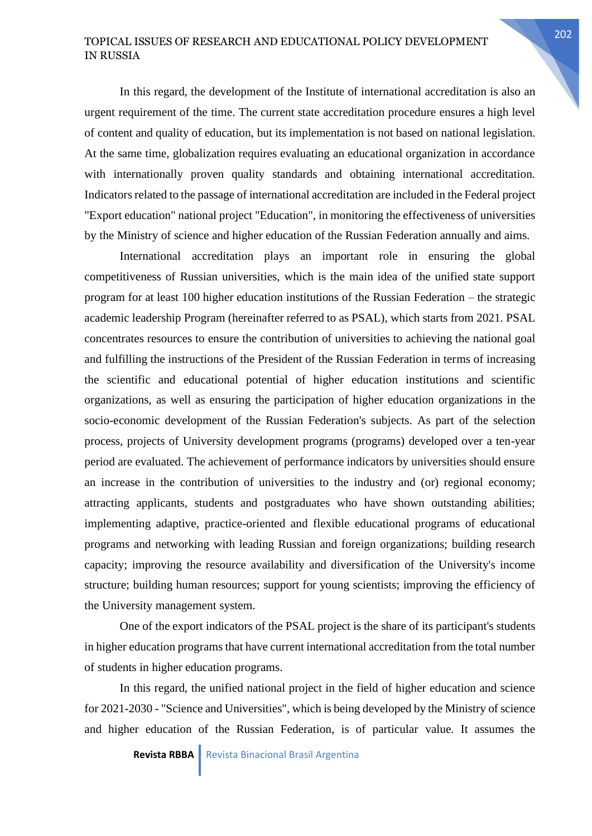In this regard, the development of the Institute of international accreditation is also an urgent requirement of the time. The current state accreditation procedure ensures a high level of content and quality of education, but its implementation is not based on national legislation. At the same time, globalization requires evaluating an educational organization in accordance with internationally proven quality standards and obtaining international accreditation. Indicators related to the passage of international accreditation are included in the Federal project "Export education" national project "Education", in monitoring the effectiveness of universities by the Ministry of science and higher education of the Russian Federation annually and aims.

International accreditation plays an important role in ensuring the global competitiveness of Russian universities, which is the main idea of the unified state support program for at least 100 higher education institutions of the Russian Federation – the strategic academic leadership Program (hereinafter referred to as PSAL), which starts from 2021. PSAL concentrates resources to ensure the contribution of universities to achieving the national goal and fulfilling the instructions of the President of the Russian Federation in terms of increasing the scientific and educational potential of higher education institutions and scientific organizations, as well as ensuring the participation of higher education organizations in the socio-economic development of the Russian Federation's subjects. As part of the selection process, projects of University development programs (programs) developed over a ten-year period are evaluated. The achievement of performance indicators by universities should ensure an increase in the contribution of universities to the industry and (or) regional economy; attracting applicants, students and postgraduates who have shown outstanding abilities; implementing adaptive, practice-oriented and flexible educational programs of educational programs and networking with leading Russian and foreign organizations; building research capacity; improving the resource availability and diversification of the University's income structure; building human resources; support for young scientists; improving the efficiency of the University management system.

One of the export indicators of the PSAL project is the share of its participant's students in higher education programs that have current international accreditation from the total number of students in higher education programs.

In this regard, the unified national project in the field of higher education and science for 2021-2030 - "Science and Universities", which is being developed by the Ministry of science and higher education of the Russian Federation, is of particular value. It assumes the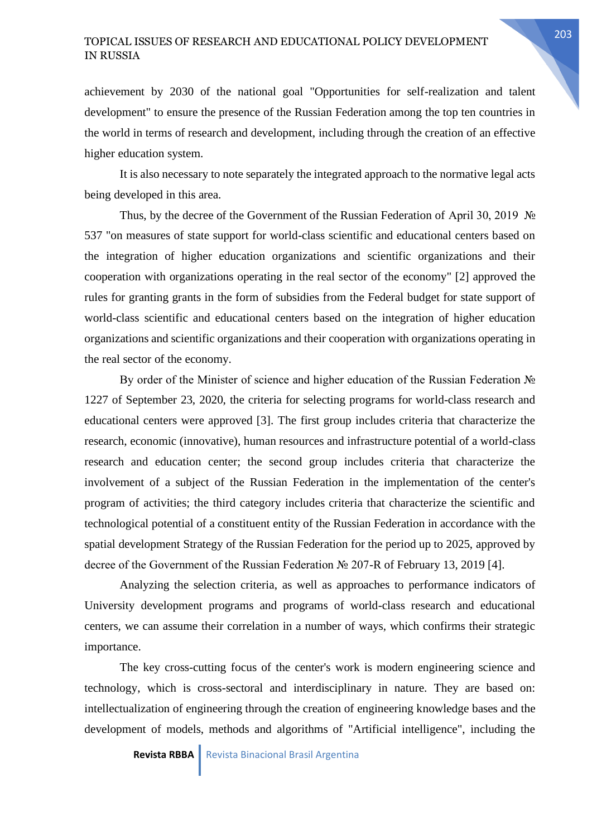achievement by 2030 of the national goal "Opportunities for self-realization and talent development" to ensure the presence of the Russian Federation among the top ten countries in the world in terms of research and development, including through the creation of an effective higher education system.

It is also necessary to note separately the integrated approach to the normative legal acts being developed in this area.

Thus, by the decree of the Government of the Russian Federation of April 30, 2019 № 537 "on measures of state support for world-class scientific and educational centers based on the integration of higher education organizations and scientific organizations and their cooperation with organizations operating in the real sector of the economy" [2] approved the rules for granting grants in the form of subsidies from the Federal budget for state support of world-class scientific and educational centers based on the integration of higher education organizations and scientific organizations and their cooperation with organizations operating in the real sector of the economy.

By order of the Minister of science and higher education of the Russian Federation № 1227 of September 23, 2020, the criteria for selecting programs for world-class research and educational centers were approved [3]. The first group includes criteria that characterize the research, economic (innovative), human resources and infrastructure potential of a world-class research and education center; the second group includes criteria that characterize the involvement of a subject of the Russian Federation in the implementation of the center's program of activities; the third category includes criteria that characterize the scientific and technological potential of a constituent entity of the Russian Federation in accordance with the spatial development Strategy of the Russian Federation for the period up to 2025, approved by decree of the Government of the Russian Federation № 207-R of February 13, 2019 [4].

Analyzing the selection criteria, as well as approaches to performance indicators of University development programs and programs of world-class research and educational centers, we can assume their correlation in a number of ways, which confirms their strategic importance.

The key cross-cutting focus of the center's work is modern engineering science and technology, which is cross-sectoral and interdisciplinary in nature. They are based on: intellectualization of engineering through the creation of engineering knowledge bases and the development of models, methods and algorithms of "Artificial intelligence", including the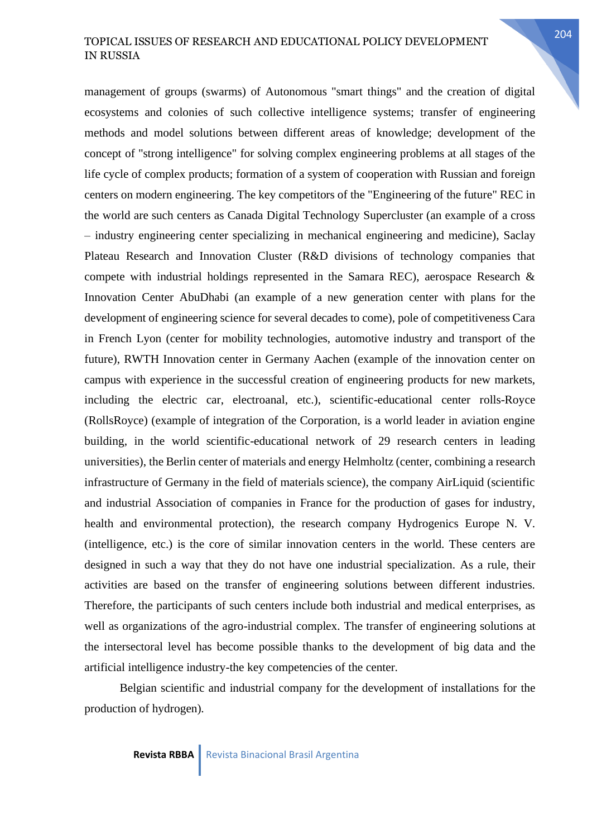management of groups (swarms) of Autonomous "smart things" and the creation of digital ecosystems and colonies of such collective intelligence systems; transfer of engineering methods and model solutions between different areas of knowledge; development of the concept of "strong intelligence" for solving complex engineering problems at all stages of the life cycle of complex products; formation of a system of cooperation with Russian and foreign centers on modern engineering. The key competitors of the "Engineering of the future" REC in the world are such centers as Canada Digital Technology Supercluster (an example of a cross – industry engineering center specializing in mechanical engineering and medicine), Saclay Plateau Research and Innovation Cluster (R&D divisions of technology companies that compete with industrial holdings represented in the Samara REC), aerospace Research & Innovation Center AbuDhabi (an example of a new generation center with plans for the development of engineering science for several decades to come), pole of competitiveness Cara in French Lyon (center for mobility technologies, automotive industry and transport of the future), RWTH Innovation center in Germany Aachen (example of the innovation center on campus with experience in the successful creation of engineering products for new markets, including the electric car, electroanal, etc.), scientific-educational center rolls-Royce (RollsRoyce) (example of integration of the Corporation, is a world leader in aviation engine building, in the world scientific-educational network of 29 research centers in leading universities), the Berlin center of materials and energy Helmholtz (center, combining a research infrastructure of Germany in the field of materials science), the company AirLiquid (scientific and industrial Association of companies in France for the production of gases for industry, health and environmental protection), the research company Hydrogenics Europe N. V. (intelligence, etc.) is the core of similar innovation centers in the world. These centers are designed in such a way that they do not have one industrial specialization. As a rule, their activities are based on the transfer of engineering solutions between different industries. Therefore, the participants of such centers include both industrial and medical enterprises, as well as organizations of the agro-industrial complex. The transfer of engineering solutions at the intersectoral level has become possible thanks to the development of big data and the artificial intelligence industry-the key competencies of the center.

Belgian scientific and industrial company for the development of installations for the production of hydrogen).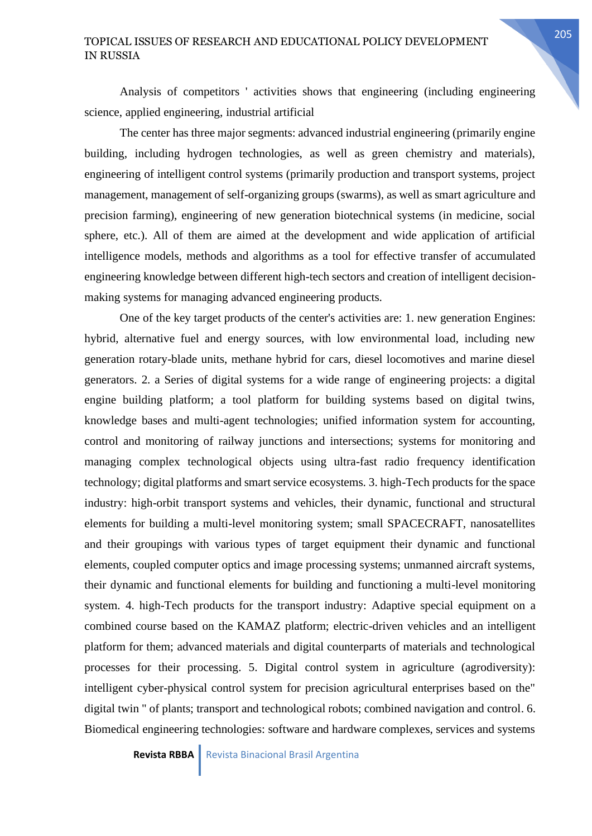Analysis of competitors ' activities shows that engineering (including engineering science, applied engineering, industrial artificial

The center has three major segments: advanced industrial engineering (primarily engine building, including hydrogen technologies, as well as green chemistry and materials), engineering of intelligent control systems (primarily production and transport systems, project management, management of self-organizing groups (swarms), as well as smart agriculture and precision farming), engineering of new generation biotechnical systems (in medicine, social sphere, etc.). All of them are aimed at the development and wide application of artificial intelligence models, methods and algorithms as a tool for effective transfer of accumulated engineering knowledge between different high-tech sectors and creation of intelligent decisionmaking systems for managing advanced engineering products.

One of the key target products of the center's activities are: 1. new generation Engines: hybrid, alternative fuel and energy sources, with low environmental load, including new generation rotary-blade units, methane hybrid for cars, diesel locomotives and marine diesel generators. 2. a Series of digital systems for a wide range of engineering projects: a digital engine building platform; a tool platform for building systems based on digital twins, knowledge bases and multi-agent technologies; unified information system for accounting, control and monitoring of railway junctions and intersections; systems for monitoring and managing complex technological objects using ultra-fast radio frequency identification technology; digital platforms and smart service ecosystems. 3. high-Tech products for the space industry: high-orbit transport systems and vehicles, their dynamic, functional and structural elements for building a multi-level monitoring system; small SPACECRAFT, nanosatellites and their groupings with various types of target equipment their dynamic and functional elements, coupled computer optics and image processing systems; unmanned aircraft systems, their dynamic and functional elements for building and functioning a multi-level monitoring system. 4. high-Tech products for the transport industry: Adaptive special equipment on a combined course based on the KAMAZ platform; electric-driven vehicles and an intelligent platform for them; advanced materials and digital counterparts of materials and technological processes for their processing. 5. Digital control system in agriculture (agrodiversity): intelligent cyber-physical control system for precision agricultural enterprises based on the" digital twin " of plants; transport and technological robots; combined navigation and control. 6. Biomedical engineering technologies: software and hardware complexes, services and systems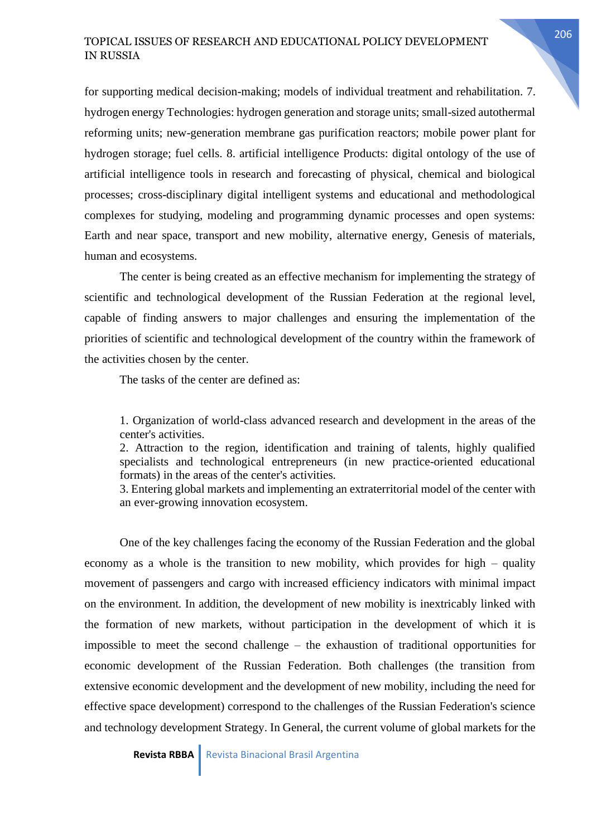for supporting medical decision-making; models of individual treatment and rehabilitation. 7. hydrogen energy Technologies: hydrogen generation and storage units; small-sized autothermal reforming units; new-generation membrane gas purification reactors; mobile power plant for hydrogen storage; fuel cells. 8. artificial intelligence Products: digital ontology of the use of artificial intelligence tools in research and forecasting of physical, chemical and biological processes; cross-disciplinary digital intelligent systems and educational and methodological complexes for studying, modeling and programming dynamic processes and open systems: Earth and near space, transport and new mobility, alternative energy, Genesis of materials, human and ecosystems.

The center is being created as an effective mechanism for implementing the strategy of scientific and technological development of the Russian Federation at the regional level, capable of finding answers to major challenges and ensuring the implementation of the priorities of scientific and technological development of the country within the framework of the activities chosen by the center.

The tasks of the center are defined as:

1. Organization of world-class advanced research and development in the areas of the center's activities.

2. Attraction to the region, identification and training of talents, highly qualified specialists and technological entrepreneurs (in new practice-oriented educational formats) in the areas of the center's activities.

3. Entering global markets and implementing an extraterritorial model of the center with an ever-growing innovation ecosystem.

One of the key challenges facing the economy of the Russian Federation and the global economy as a whole is the transition to new mobility, which provides for high – quality movement of passengers and cargo with increased efficiency indicators with minimal impact on the environment. In addition, the development of new mobility is inextricably linked with the formation of new markets, without participation in the development of which it is impossible to meet the second challenge – the exhaustion of traditional opportunities for economic development of the Russian Federation. Both challenges (the transition from extensive economic development and the development of new mobility, including the need for effective space development) correspond to the challenges of the Russian Federation's science and technology development Strategy. In General, the current volume of global markets for the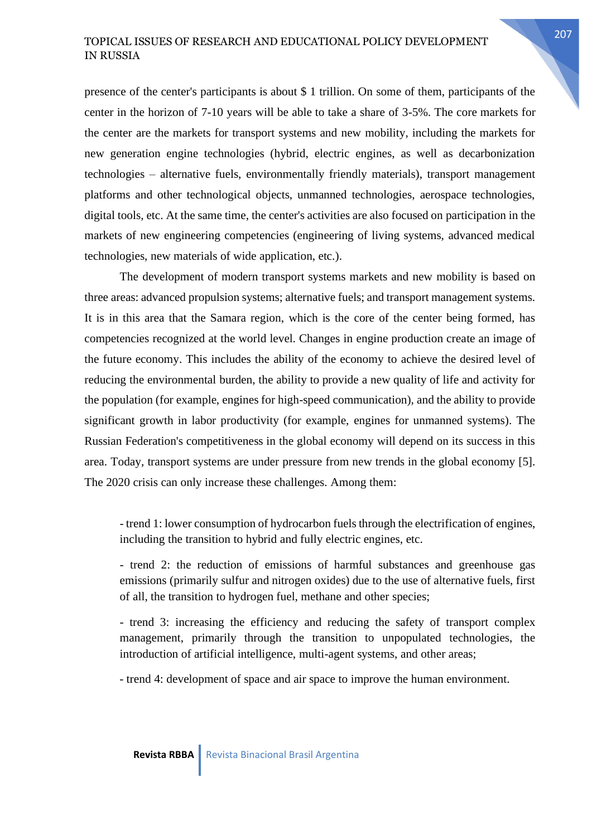presence of the center's participants is about \$ 1 trillion. On some of them, participants of the center in the horizon of 7-10 years will be able to take a share of 3-5%. The core markets for the center are the markets for transport systems and new mobility, including the markets for new generation engine technologies (hybrid, electric engines, as well as decarbonization technologies – alternative fuels, environmentally friendly materials), transport management platforms and other technological objects, unmanned technologies, aerospace technologies, digital tools, etc. At the same time, the center's activities are also focused on participation in the markets of new engineering competencies (engineering of living systems, advanced medical technologies, new materials of wide application, etc.).

The development of modern transport systems markets and new mobility is based on three areas: advanced propulsion systems; alternative fuels; and transport management systems. It is in this area that the Samara region, which is the core of the center being formed, has competencies recognized at the world level. Changes in engine production create an image of the future economy. This includes the ability of the economy to achieve the desired level of reducing the environmental burden, the ability to provide a new quality of life and activity for the population (for example, engines for high-speed communication), and the ability to provide significant growth in labor productivity (for example, engines for unmanned systems). The Russian Federation's competitiveness in the global economy will depend on its success in this area. Today, transport systems are under pressure from new trends in the global economy [5]. The 2020 crisis can only increase these challenges. Among them:

- trend 1: lower consumption of hydrocarbon fuels through the electrification of engines, including the transition to hybrid and fully electric engines, etc.

- trend 2: the reduction of emissions of harmful substances and greenhouse gas emissions (primarily sulfur and nitrogen oxides) due to the use of alternative fuels, first of all, the transition to hydrogen fuel, methane and other species;

- trend 3: increasing the efficiency and reducing the safety of transport complex management, primarily through the transition to unpopulated technologies, the introduction of artificial intelligence, multi-agent systems, and other areas;

- trend 4: development of space and air space to improve the human environment.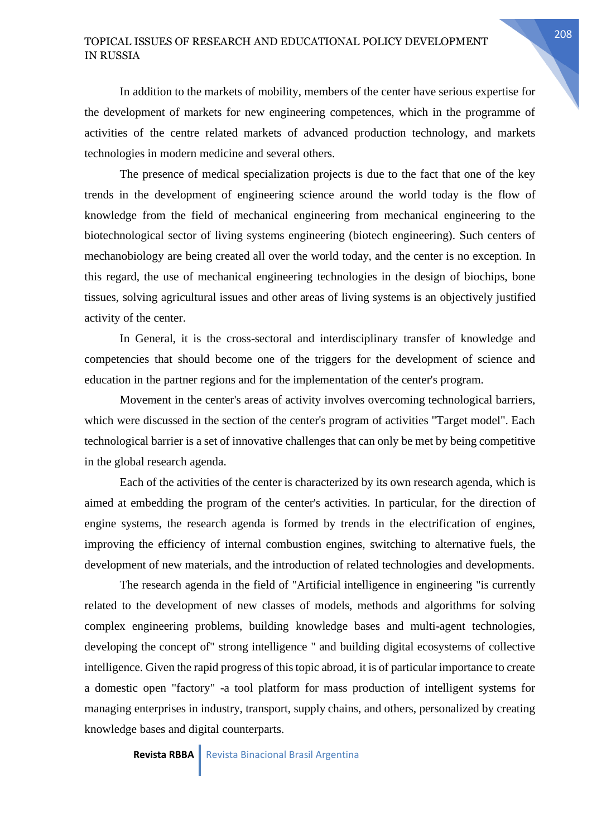In addition to the markets of mobility, members of the center have serious expertise for the development of markets for new engineering competences, which in the programme of activities of the centre related markets of advanced production technology, and markets technologies in modern medicine and several others.

The presence of medical specialization projects is due to the fact that one of the key trends in the development of engineering science around the world today is the flow of knowledge from the field of mechanical engineering from mechanical engineering to the biotechnological sector of living systems engineering (biotech engineering). Such centers of mechanobiology are being created all over the world today, and the center is no exception. In this regard, the use of mechanical engineering technologies in the design of biochips, bone tissues, solving agricultural issues and other areas of living systems is an objectively justified activity of the center.

In General, it is the cross-sectoral and interdisciplinary transfer of knowledge and competencies that should become one of the triggers for the development of science and education in the partner regions and for the implementation of the center's program.

Movement in the center's areas of activity involves overcoming technological barriers, which were discussed in the section of the center's program of activities "Target model". Each technological barrier is a set of innovative challenges that can only be met by being competitive in the global research agenda.

Each of the activities of the center is characterized by its own research agenda, which is aimed at embedding the program of the center's activities. In particular, for the direction of engine systems, the research agenda is formed by trends in the electrification of engines, improving the efficiency of internal combustion engines, switching to alternative fuels, the development of new materials, and the introduction of related technologies and developments.

The research agenda in the field of "Artificial intelligence in engineering "is currently related to the development of new classes of models, methods and algorithms for solving complex engineering problems, building knowledge bases and multi-agent technologies, developing the concept of" strong intelligence " and building digital ecosystems of collective intelligence. Given the rapid progress of this topic abroad, it is of particular importance to create a domestic open "factory" -a tool platform for mass production of intelligent systems for managing enterprises in industry, transport, supply chains, and others, personalized by creating knowledge bases and digital counterparts.

**Revista RBBA** Revista Binacional Brasil Argentina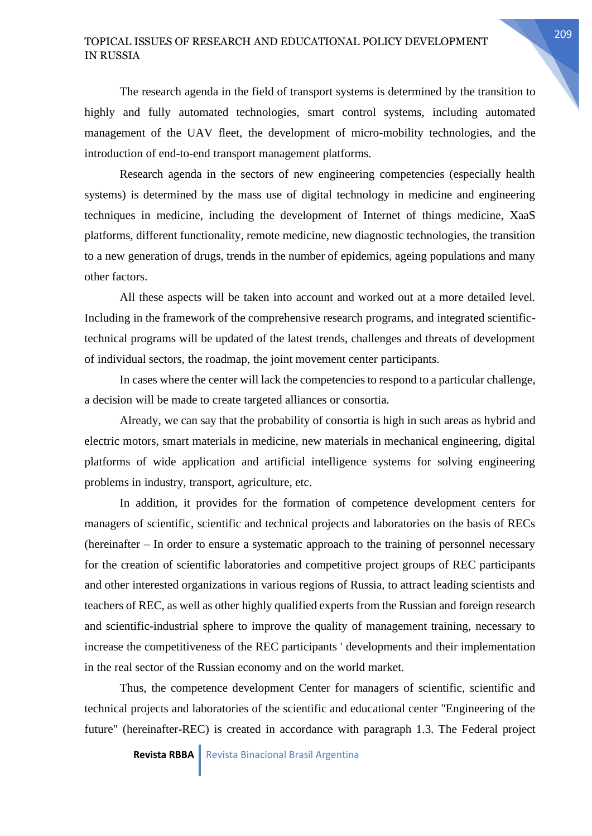The research agenda in the field of transport systems is determined by the transition to highly and fully automated technologies, smart control systems, including automated management of the UAV fleet, the development of micro-mobility technologies, and the introduction of end-to-end transport management platforms.

Research agenda in the sectors of new engineering competencies (especially health systems) is determined by the mass use of digital technology in medicine and engineering techniques in medicine, including the development of Internet of things medicine, XaaS platforms, different functionality, remote medicine, new diagnostic technologies, the transition to a new generation of drugs, trends in the number of epidemics, ageing populations and many other factors.

All these aspects will be taken into account and worked out at a more detailed level. Including in the framework of the comprehensive research programs, and integrated scientifictechnical programs will be updated of the latest trends, challenges and threats of development of individual sectors, the roadmap, the joint movement center participants.

In cases where the center will lack the competencies to respond to a particular challenge, a decision will be made to create targeted alliances or consortia.

Already, we can say that the probability of consortia is high in such areas as hybrid and electric motors, smart materials in medicine, new materials in mechanical engineering, digital platforms of wide application and artificial intelligence systems for solving engineering problems in industry, transport, agriculture, etc.

In addition, it provides for the formation of competence development centers for managers of scientific, scientific and technical projects and laboratories on the basis of RECs (hereinafter – In order to ensure a systematic approach to the training of personnel necessary for the creation of scientific laboratories and competitive project groups of REC participants and other interested organizations in various regions of Russia, to attract leading scientists and teachers of REC, as well as other highly qualified experts from the Russian and foreign research and scientific-industrial sphere to improve the quality of management training, necessary to increase the competitiveness of the REC participants ' developments and their implementation in the real sector of the Russian economy and on the world market.

Thus, the competence development Center for managers of scientific, scientific and technical projects and laboratories of the scientific and educational center "Engineering of the future" (hereinafter-REC) is created in accordance with paragraph 1.3. The Federal project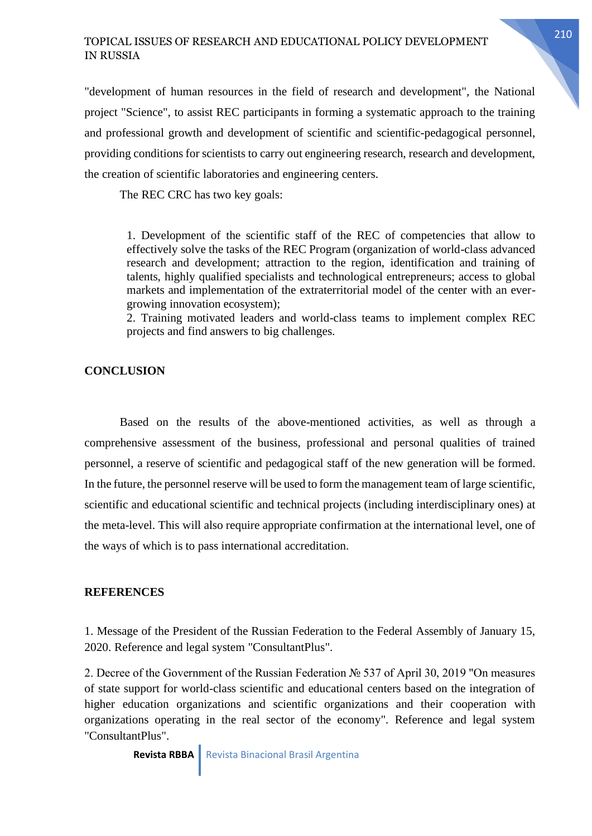"development of human resources in the field of research and development", the National project "Science", to assist REC participants in forming a systematic approach to the training and professional growth and development of scientific and scientific-pedagogical personnel, providing conditions for scientists to carry out engineering research, research and development, the creation of scientific laboratories and engineering centers.

The REC CRC has two key goals:

1. Development of the scientific staff of the REC of competencies that allow to effectively solve the tasks of the REC Program (organization of world-class advanced research and development; attraction to the region, identification and training of talents, highly qualified specialists and technological entrepreneurs; access to global markets and implementation of the extraterritorial model of the center with an evergrowing innovation ecosystem);

2. Training motivated leaders and world-class teams to implement complex REC projects and find answers to big challenges.

#### **CONCLUSION**

Based on the results of the above-mentioned activities, as well as through a comprehensive assessment of the business, professional and personal qualities of trained personnel, a reserve of scientific and pedagogical staff of the new generation will be formed. In the future, the personnel reserve will be used to form the management team of large scientific, scientific and educational scientific and technical projects (including interdisciplinary ones) at the meta-level. This will also require appropriate confirmation at the international level, one of the ways of which is to pass international accreditation.

#### **REFERENCES**

1. Message of the President of the Russian Federation to the Federal Assembly of January 15, 2020. Reference and legal system "ConsultantPlus".

2. Decree of the Government of the Russian Federation № 537 of April 30, 2019 "On measures of state support for world-class scientific and educational centers based on the integration of higher education organizations and scientific organizations and their cooperation with organizations operating in the real sector of the economy". Reference and legal system "ConsultantPlus".